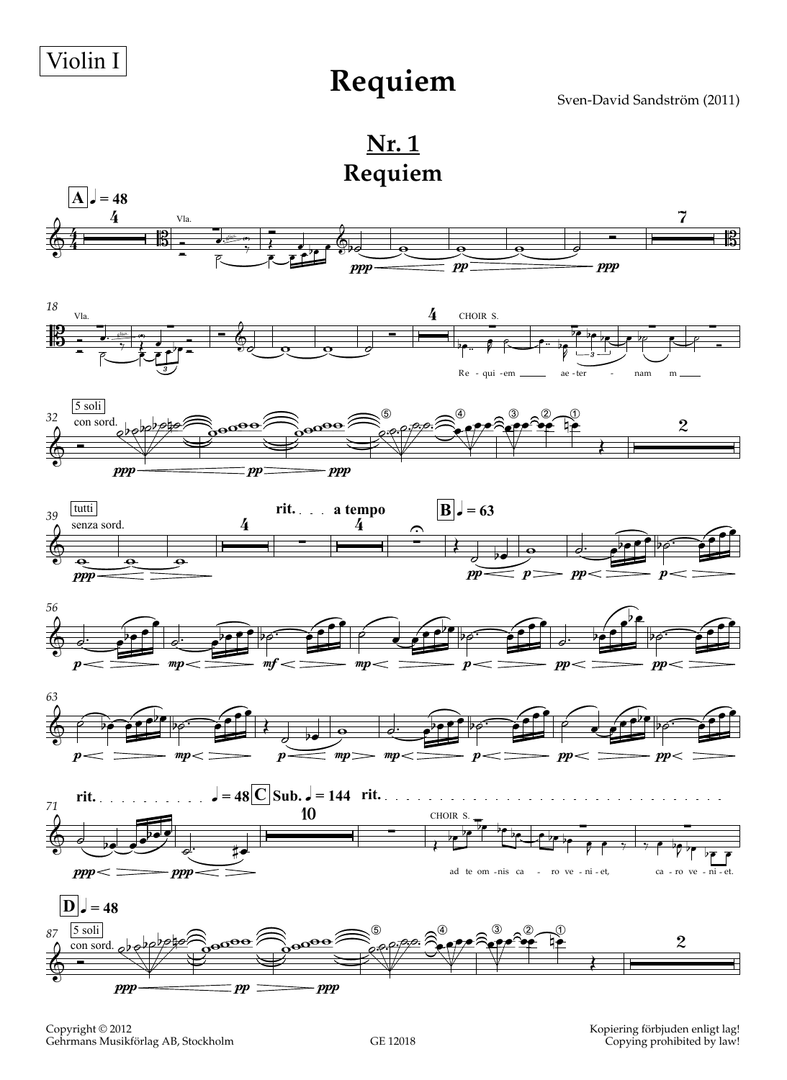**Requiem**

Sven-David Sandström (2011)

**Nr. 1 Requiem**



Copyright © 2012 Gehrmans Musikförlag AB, Stockholm Kopiering förbjuden enligt lag! Copying prohibited by law!